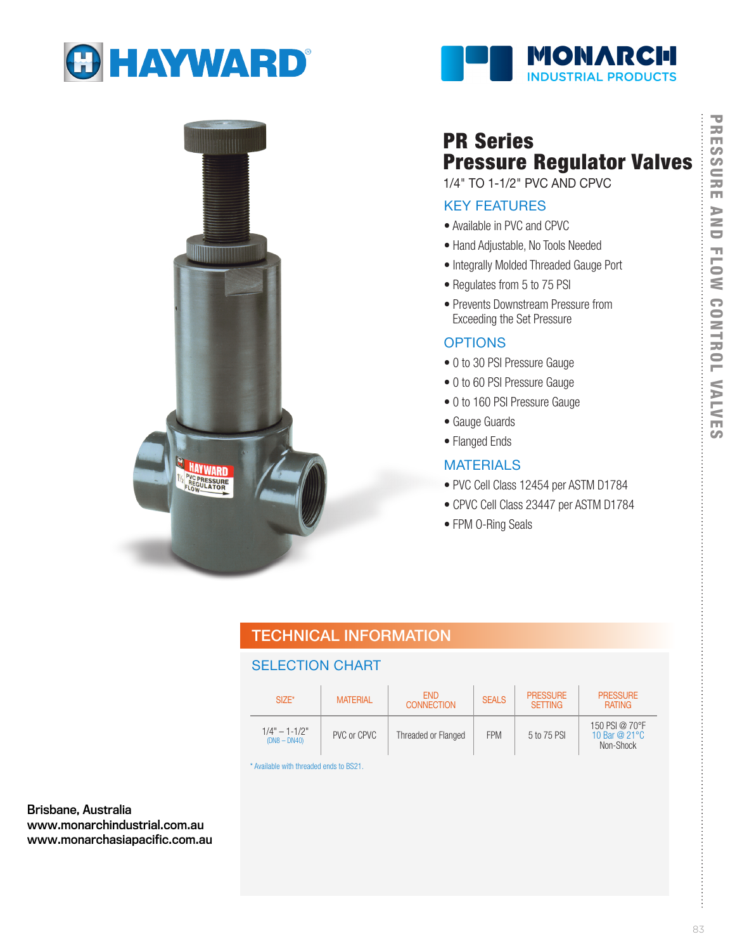

**HAY WARD REGULATOR** 





# PR Series Pressure Regulator Valves

1/4" TO 1-1/2" PVC AND CPVC

# KEY FEATURES

- Available in PVC and CPVC
- Hand Adjustable, No Tools Needed
- Integrally Molded Threaded Gauge Port
- Regulates from 5 to 75 PSI
- Prevents Downstream Pressure from Exceeding the Set Pressure

### **OPTIONS**

- 0 to 30 PSI Pressure Gauge
- 0 to 60 PSI Pressure Gauge
- 0 to 160 PSI Pressure Gauge
- Gauge Guards
- Flanged Ends

### MATERIALS

- PVC Cell Class 12454 per ASTM D1784
- CPVC Cell Class 23447 per ASTM D1784
- FPM O-Ring Seals

# TECHNICAL INFORMATION

## SELECTION CHART

| $SIZE^*$                            | <b>MATERIAL</b> | <b>FND</b><br><b>CONNECTION</b> | <b>SEALS</b> | <b>PRESSURE</b><br><b>SETTING</b> | <b>PRESSURE</b><br><b>RATING</b>              |
|-------------------------------------|-----------------|---------------------------------|--------------|-----------------------------------|-----------------------------------------------|
| $1/4" - 1 - 1/2"$<br>$(DN8 - DN40)$ | PVC or CPVC     | Threaded or Flanged             | <b>FPM</b>   | 5 to 75 PSI                       | 150 PSI @ 70°F<br>10 Bar @ 21 °C<br>Non-Shock |

\* Available with threaded ends to BS21.

Brisbane, Australia www.monarchindustrial.com.au www.monarchasiapacific.com.au

. . . . . . . . . . . . . . . . . . . .